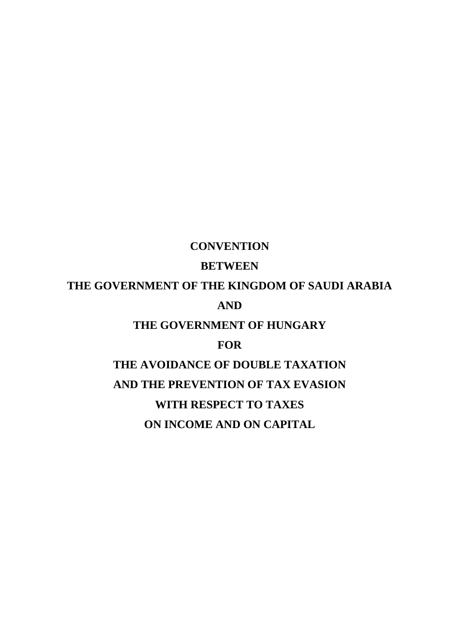# **CONVENTION**

## **BETWEEN**

# **THE GOVERNMENT OF THE KINGDOM OF SAUDI ARABIA AND**

**THE GOVERNMENT OF HUNGARY**

## **FOR**

**THE AVOIDANCE OF DOUBLE TAXATION AND THE PREVENTION OF TAX EVASION WITH RESPECT TO TAXES ON INCOME AND ON CAPITAL**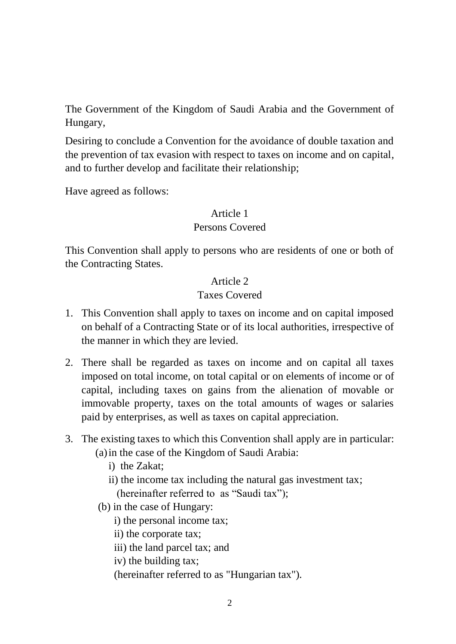The Government of the Kingdom of Saudi Arabia and the Government of Hungary,

Desiring to conclude a Convention for the avoidance of double taxation and the prevention of tax evasion with respect to taxes on income and on capital, and to further develop and facilitate their relationship;

Have agreed as follows:

## Article 1

## Persons Covered

This Convention shall apply to persons who are residents of one or both of the Contracting States.

# Article 2

## Taxes Covered

- 1. This Convention shall apply to taxes on income and on capital imposed on behalf of a Contracting State or of its local authorities, irrespective of the manner in which they are levied.
- 2. There shall be regarded as taxes on income and on capital all taxes imposed on total income, on total capital or on elements of income or of capital, including taxes on gains from the alienation of movable or immovable property, taxes on the total amounts of wages or salaries paid by enterprises, as well as taxes on capital appreciation.
- 3. The existing taxes to which this Convention shall apply are in particular: (a)in the case of the Kingdom of Saudi Arabia:
	- i) the Zakat;
	- ii) the income tax including the natural gas investment tax;
		- (hereinafter referred to as "Saudi tax");
	- (b) in the case of Hungary:
		- i) the personal income tax;
		- ii) the corporate tax;
		- iii) the land parcel tax; and
		- iv) the building tax;
		- (hereinafter referred to as "Hungarian tax").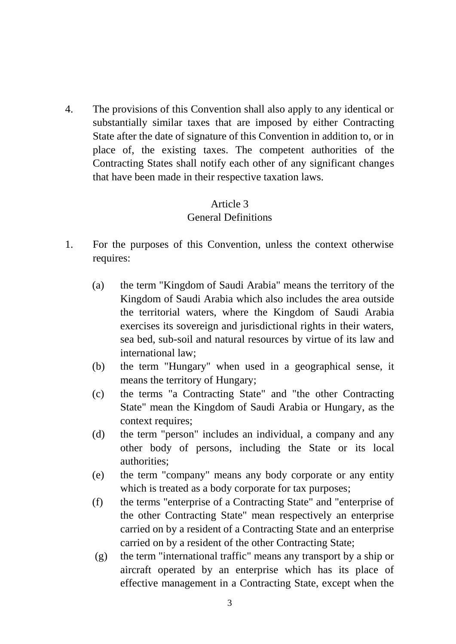4. The provisions of this Convention shall also apply to any identical or substantially similar taxes that are imposed by either Contracting State after the date of signature of this Convention in addition to, or in place of, the existing taxes. The competent authorities of the Contracting States shall notify each other of any significant changes that have been made in their respective taxation laws.

# Article 3

## General Definitions

- 1. For the purposes of this Convention, unless the context otherwise requires:
	- (a) the term "Kingdom of Saudi Arabia" means the territory of the Kingdom of Saudi Arabia which also includes the area outside the territorial waters, where the Kingdom of Saudi Arabia exercises its sovereign and jurisdictional rights in their waters, sea bed, sub-soil and natural resources by virtue of its law and international law;
	- (b) the term "Hungary" when used in a geographical sense, it means the territory of Hungary;
	- (c) the terms "a Contracting State" and "the other Contracting State" mean the Kingdom of Saudi Arabia or Hungary, as the context requires;
	- (d) the term "person" includes an individual, a company and any other body of persons, including the State or its local authorities;
	- (e) the term "company" means any body corporate or any entity which is treated as a body corporate for tax purposes;
	- (f) the terms "enterprise of a Contracting State" and "enterprise of the other Contracting State" mean respectively an enterprise carried on by a resident of a Contracting State and an enterprise carried on by a resident of the other Contracting State;
	- (g) the term "international traffic" means any transport by a ship or aircraft operated by an enterprise which has its place of effective management in a Contracting State, except when the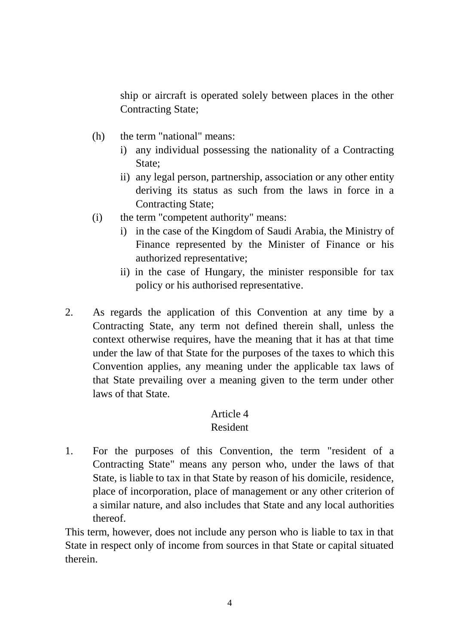ship or aircraft is operated solely between places in the other Contracting State;

- (h) the term "national" means:
	- i) any individual possessing the nationality of a Contracting State;
	- ii) any legal person, partnership, association or any other entity deriving its status as such from the laws in force in a Contracting State;
- (i) the term "competent authority" means:
	- i) in the case of the Kingdom of Saudi Arabia, the Ministry of Finance represented by the Minister of Finance or his authorized representative;
	- ii) in the case of Hungary, the minister responsible for tax policy or his authorised representative.
- 2. As regards the application of this Convention at any time by a Contracting State, any term not defined therein shall, unless the context otherwise requires, have the meaning that it has at that time under the law of that State for the purposes of the taxes to which this Convention applies, any meaning under the applicable tax laws of that State prevailing over a meaning given to the term under other laws of that State.

## Article 4

#### Resident

1. For the purposes of this Convention, the term "resident of a Contracting State" means any person who, under the laws of that State, is liable to tax in that State by reason of his domicile, residence, place of incorporation, place of management or any other criterion of a similar nature, and also includes that State and any local authorities thereof.

This term, however, does not include any person who is liable to tax in that State in respect only of income from sources in that State or capital situated therein.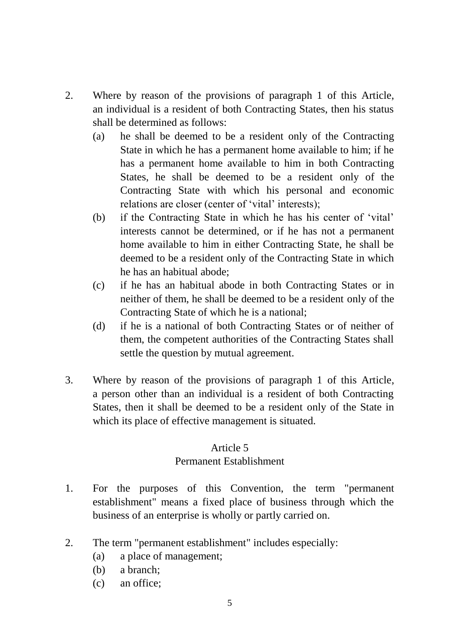- 2. Where by reason of the provisions of paragraph 1 of this Article, an individual is a resident of both Contracting States, then his status shall be determined as follows:
	- (a) he shall be deemed to be a resident only of the Contracting State in which he has a permanent home available to him; if he has a permanent home available to him in both Contracting States, he shall be deemed to be a resident only of the Contracting State with which his personal and economic relations are closer (center of 'vital' interests);
	- (b) if the Contracting State in which he has his center of 'vital' interests cannot be determined, or if he has not a permanent home available to him in either Contracting State, he shall be deemed to be a resident only of the Contracting State in which he has an habitual abode;
	- (c) if he has an habitual abode in both Contracting States or in neither of them, he shall be deemed to be a resident only of the Contracting State of which he is a national;
	- (d) if he is a national of both Contracting States or of neither of them, the competent authorities of the Contracting States shall settle the question by mutual agreement.
- 3. Where by reason of the provisions of paragraph 1 of this Article, a person other than an individual is a resident of both Contracting States, then it shall be deemed to be a resident only of the State in which its place of effective management is situated.

#### Article 5

## Permanent Establishment

- 1. For the purposes of this Convention, the term "permanent establishment" means a fixed place of business through which the business of an enterprise is wholly or partly carried on.
- 2. The term "permanent establishment" includes especially:
	- (a) a place of management;
	- (b) a branch;
	- (c) an office;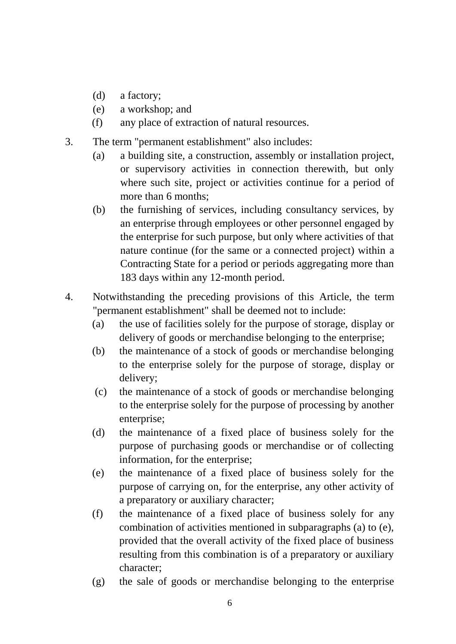- (d) a factory;
- (e) a workshop; and
- (f) any place of extraction of natural resources.
- 3. The term "permanent establishment" also includes:
	- (a) a building site, a construction, assembly or installation project, or supervisory activities in connection therewith, but only where such site, project or activities continue for a period of more than 6 months;
	- (b) the furnishing of services, including consultancy services, by an enterprise through employees or other personnel engaged by the enterprise for such purpose, but only where activities of that nature continue (for the same or a connected project) within a Contracting State for a period or periods aggregating more than 183 days within any 12-month period.
- 4. Notwithstanding the preceding provisions of this Article, the term "permanent establishment" shall be deemed not to include:
	- (a) the use of facilities solely for the purpose of storage, display or delivery of goods or merchandise belonging to the enterprise;
	- (b) the maintenance of a stock of goods or merchandise belonging to the enterprise solely for the purpose of storage, display or delivery;
	- (c) the maintenance of a stock of goods or merchandise belonging to the enterprise solely for the purpose of processing by another enterprise;
	- (d) the maintenance of a fixed place of business solely for the purpose of purchasing goods or merchandise or of collecting information, for the enterprise;
	- (e) the maintenance of a fixed place of business solely for the purpose of carrying on, for the enterprise, any other activity of a preparatory or auxiliary character;
	- (f) the maintenance of a fixed place of business solely for any combination of activities mentioned in subparagraphs (a) to (e), provided that the overall activity of the fixed place of business resulting from this combination is of a preparatory or auxiliary character;
	- (g) the sale of goods or merchandise belonging to the enterprise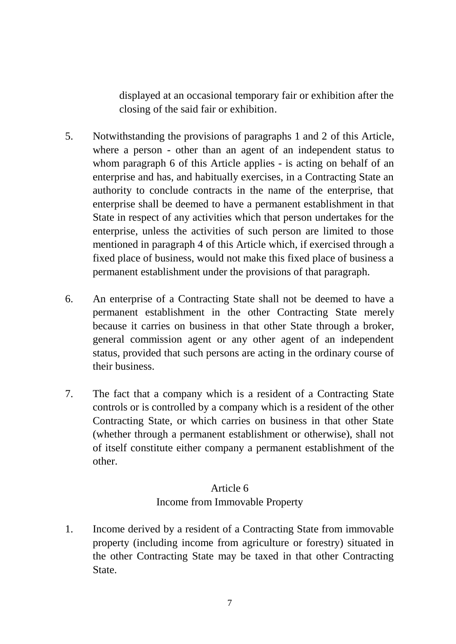displayed at an occasional temporary fair or exhibition after the closing of the said fair or exhibition.

- 5. Notwithstanding the provisions of paragraphs 1 and 2 of this Article, where a person - other than an agent of an independent status to whom paragraph 6 of this Article applies - is acting on behalf of an enterprise and has, and habitually exercises, in a Contracting State an authority to conclude contracts in the name of the enterprise, that enterprise shall be deemed to have a permanent establishment in that State in respect of any activities which that person undertakes for the enterprise, unless the activities of such person are limited to those mentioned in paragraph 4 of this Article which, if exercised through a fixed place of business, would not make this fixed place of business a permanent establishment under the provisions of that paragraph.
- 6. An enterprise of a Contracting State shall not be deemed to have a permanent establishment in the other Contracting State merely because it carries on business in that other State through a broker, general commission agent or any other agent of an independent status, provided that such persons are acting in the ordinary course of their business.
- 7. The fact that a company which is a resident of a Contracting State controls or is controlled by a company which is a resident of the other Contracting State, or which carries on business in that other State (whether through a permanent establishment or otherwise), shall not of itself constitute either company a permanent establishment of the other.

# Article 6 Income from Immovable Property

1. Income derived by a resident of a Contracting State from immovable property (including income from agriculture or forestry) situated in the other Contracting State may be taxed in that other Contracting State.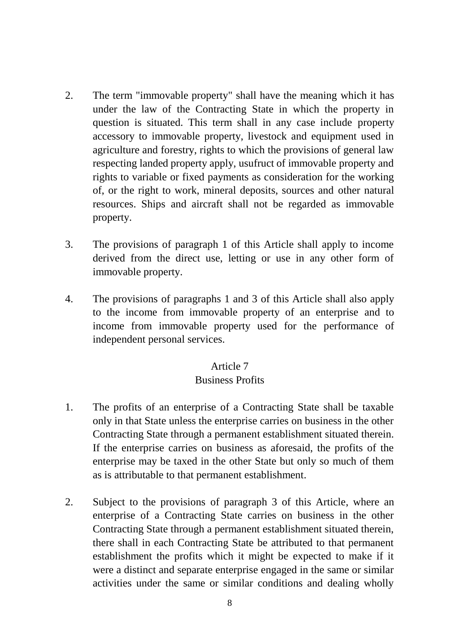- 2. The term "immovable property" shall have the meaning which it has under the law of the Contracting State in which the property in question is situated. This term shall in any case include property accessory to immovable property, livestock and equipment used in agriculture and forestry, rights to which the provisions of general law respecting landed property apply, usufruct of immovable property and rights to variable or fixed payments as consideration for the working of, or the right to work, mineral deposits, sources and other natural resources. Ships and aircraft shall not be regarded as immovable property.
- 3. The provisions of paragraph 1 of this Article shall apply to income derived from the direct use, letting or use in any other form of immovable property.
- 4. The provisions of paragraphs 1 and 3 of this Article shall also apply to the income from immovable property of an enterprise and to income from immovable property used for the performance of independent personal services.

## Article 7

#### Business Profits

- 1. The profits of an enterprise of a Contracting State shall be taxable only in that State unless the enterprise carries on business in the other Contracting State through a permanent establishment situated therein. If the enterprise carries on business as aforesaid, the profits of the enterprise may be taxed in the other State but only so much of them as is attributable to that permanent establishment.
- 2. Subject to the provisions of paragraph 3 of this Article, where an enterprise of a Contracting State carries on business in the other Contracting State through a permanent establishment situated therein, there shall in each Contracting State be attributed to that permanent establishment the profits which it might be expected to make if it were a distinct and separate enterprise engaged in the same or similar activities under the same or similar conditions and dealing wholly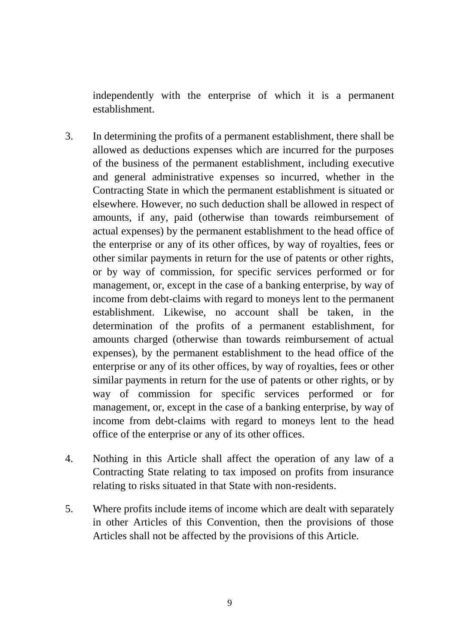independently with the enterprise of which it is a permanent establishment.

- 3. In determining the profits of a permanent establishment, there shall be allowed as deductions expenses which are incurred for the purposes of the business of the permanent establishment, including executive and general administrative expenses so incurred, whether in the Contracting State in which the permanent establishment is situated or elsewhere. However, no such deduction shall be allowed in respect of amounts, if any, paid (otherwise than towards reimbursement of actual expenses) by the permanent establishment to the head office of the enterprise or any of its other offices, by way of royalties, fees or other similar payments in return for the use of patents or other rights, or by way of commission, for specific services performed or for management, or, except in the case of a banking enterprise, by way of income from debt-claims with regard to moneys lent to the permanent establishment. Likewise, no account shall be taken, in the determination of the profits of a permanent establishment, for amounts charged (otherwise than towards reimbursement of actual expenses), by the permanent establishment to the head office of the enterprise or any of its other offices, by way of royalties, fees or other similar payments in return for the use of patents or other rights, or by way of commission for specific services performed or for management, or, except in the case of a banking enterprise, by way of income from debt-claims with regard to moneys lent to the head office of the enterprise or any of its other offices.
- 4. Nothing in this Article shall affect the operation of any law of a Contracting State relating to tax imposed on profits from insurance relating to risks situated in that State with non-residents.
- 5. Where profits include items of income which are dealt with separately in other Articles of this Convention, then the provisions of those Articles shall not be affected by the provisions of this Article.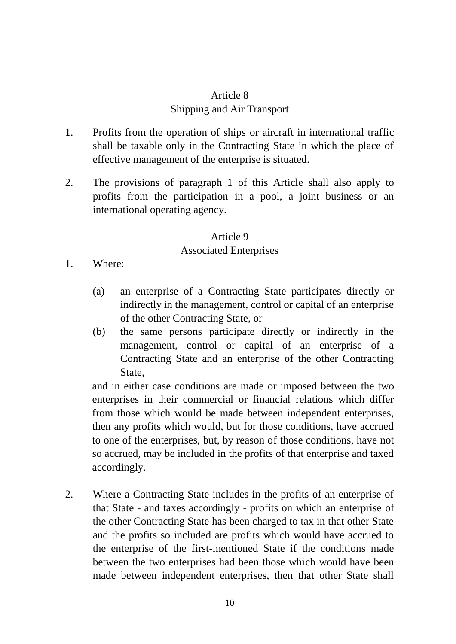# Article 8 Shipping and Air Transport

- 1. Profits from the operation of ships or aircraft in international traffic shall be taxable only in the Contracting State in which the place of effective management of the enterprise is situated.
- 2. The provisions of paragraph 1 of this Article shall also apply to profits from the participation in a pool, a joint business or an international operating agency.

#### Article 9

#### Associated Enterprises

- 1. Where:
	- (a) an enterprise of a Contracting State participates directly or indirectly in the management, control or capital of an enterprise of the other Contracting State, or
	- (b) the same persons participate directly or indirectly in the management, control or capital of an enterprise of a Contracting State and an enterprise of the other Contracting State,

and in either case conditions are made or imposed between the two enterprises in their commercial or financial relations which differ from those which would be made between independent enterprises, then any profits which would, but for those conditions, have accrued to one of the enterprises, but, by reason of those conditions, have not so accrued, may be included in the profits of that enterprise and taxed accordingly.

2. Where a Contracting State includes in the profits of an enterprise of that State - and taxes accordingly - profits on which an enterprise of the other Contracting State has been charged to tax in that other State and the profits so included are profits which would have accrued to the enterprise of the first-mentioned State if the conditions made between the two enterprises had been those which would have been made between independent enterprises, then that other State shall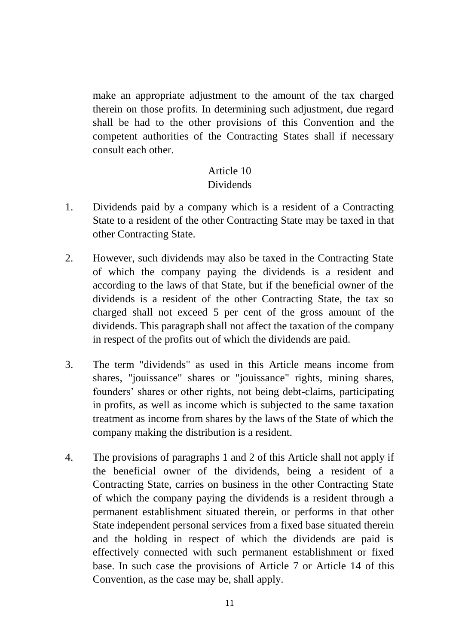make an appropriate adjustment to the amount of the tax charged therein on those profits. In determining such adjustment, due regard shall be had to the other provisions of this Convention and the competent authorities of the Contracting States shall if necessary consult each other.

#### Article 10 **Dividends**

- 1. Dividends paid by a company which is a resident of a Contracting State to a resident of the other Contracting State may be taxed in that other Contracting State.
- 2. However, such dividends may also be taxed in the Contracting State of which the company paying the dividends is a resident and according to the laws of that State, but if the beneficial owner of the dividends is a resident of the other Contracting State, the tax so charged shall not exceed 5 per cent of the gross amount of the dividends. This paragraph shall not affect the taxation of the company in respect of the profits out of which the dividends are paid.
- 3. The term "dividends" as used in this Article means income from shares, "jouissance" shares or "jouissance" rights, mining shares, founders' shares or other rights, not being debt-claims, participating in profits, as well as income which is subjected to the same taxation treatment as income from shares by the laws of the State of which the company making the distribution is a resident.
- 4. The provisions of paragraphs 1 and 2 of this Article shall not apply if the beneficial owner of the dividends, being a resident of a Contracting State, carries on business in the other Contracting State of which the company paying the dividends is a resident through a permanent establishment situated therein, or performs in that other State independent personal services from a fixed base situated therein and the holding in respect of which the dividends are paid is effectively connected with such permanent establishment or fixed base. In such case the provisions of Article 7 or Article 14 of this Convention, as the case may be, shall apply.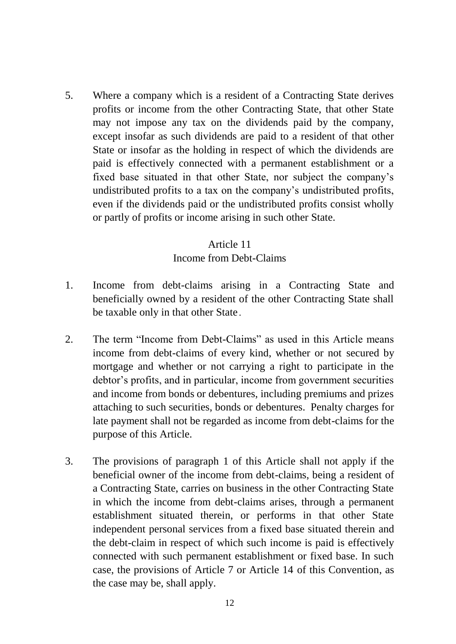5. Where a company which is a resident of a Contracting State derives profits or income from the other Contracting State, that other State may not impose any tax on the dividends paid by the company, except insofar as such dividends are paid to a resident of that other State or insofar as the holding in respect of which the dividends are paid is effectively connected with a permanent establishment or a fixed base situated in that other State, nor subject the company's undistributed profits to a tax on the company's undistributed profits, even if the dividends paid or the undistributed profits consist wholly or partly of profits or income arising in such other State.

## Article 11

## Income from Debt-Claims

- 1. Income from debt-claims arising in a Contracting State and beneficially owned by a resident of the other Contracting State shall be taxable only in that other State.
- 2. The term "Income from Debt-Claims" as used in this Article means income from debt-claims of every kind, whether or not secured by mortgage and whether or not carrying a right to participate in the debtor's profits, and in particular, income from government securities and income from bonds or debentures, including premiums and prizes attaching to such securities, bonds or debentures. Penalty charges for late payment shall not be regarded as income from debt-claims for the purpose of this Article.
- 3. The provisions of paragraph 1 of this Article shall not apply if the beneficial owner of the income from debt-claims, being a resident of a Contracting State, carries on business in the other Contracting State in which the income from debt-claims arises, through a permanent establishment situated therein, or performs in that other State independent personal services from a fixed base situated therein and the debt-claim in respect of which such income is paid is effectively connected with such permanent establishment or fixed base. In such case, the provisions of Article 7 or Article 14 of this Convention, as the case may be, shall apply.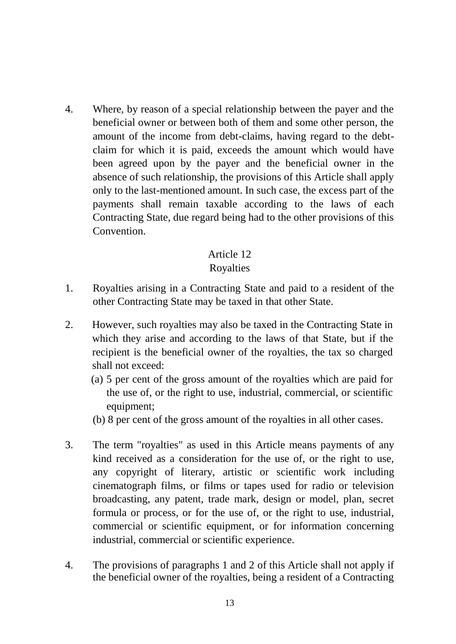4. Where, by reason of a special relationship between the payer and the beneficial owner or between both of them and some other person, the amount of the income from debt-claims, having regard to the debtclaim for which it is paid, exceeds the amount which would have been agreed upon by the payer and the beneficial owner in the absence of such relationship, the provisions of this Article shall apply only to the last-mentioned amount. In such case, the excess part of the payments shall remain taxable according to the laws of each Contracting State, due regard being had to the other provisions of this Convention.

# Article 12

# Royalties

- 1. Royalties arising in a Contracting State and paid to a resident of the other Contracting State may be taxed in that other State.
- 2. However, such royalties may also be taxed in the Contracting State in which they arise and according to the laws of that State, but if the recipient is the beneficial owner of the royalties, the tax so charged shall not exceed:
	- (a) 5 per cent of the gross amount of the royalties which are paid for the use of, or the right to use, industrial, commercial, or scientific equipment;
	- (b) 8 per cent of the gross amount of the royalties in all other cases.
- 3. The term "royalties" as used in this Article means payments of any kind received as a consideration for the use of, or the right to use, any copyright of literary, artistic or scientific work including cinematograph films, or films or tapes used for radio or television broadcasting, any patent, trade mark, design or model, plan, secret formula or process, or for the use of, or the right to use, industrial, commercial or scientific equipment, or for information concerning industrial, commercial or scientific experience.
- 4. The provisions of paragraphs 1 and 2 of this Article shall not apply if the beneficial owner of the royalties, being a resident of a Contracting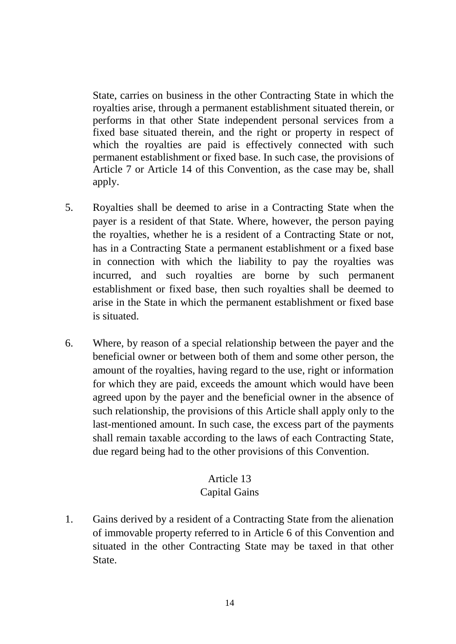State, carries on business in the other Contracting State in which the royalties arise, through a permanent establishment situated therein, or performs in that other State independent personal services from a fixed base situated therein, and the right or property in respect of which the royalties are paid is effectively connected with such permanent establishment or fixed base. In such case, the provisions of Article 7 or Article 14 of this Convention, as the case may be, shall apply.

- 5. Royalties shall be deemed to arise in a Contracting State when the payer is a resident of that State. Where, however, the person paying the royalties, whether he is a resident of a Contracting State or not, has in a Contracting State a permanent establishment or a fixed base in connection with which the liability to pay the royalties was incurred, and such royalties are borne by such permanent establishment or fixed base, then such royalties shall be deemed to arise in the State in which the permanent establishment or fixed base is situated.
- 6. Where, by reason of a special relationship between the payer and the beneficial owner or between both of them and some other person, the amount of the royalties, having regard to the use, right or information for which they are paid, exceeds the amount which would have been agreed upon by the payer and the beneficial owner in the absence of such relationship, the provisions of this Article shall apply only to the last-mentioned amount. In such case, the excess part of the payments shall remain taxable according to the laws of each Contracting State, due regard being had to the other provisions of this Convention.

## Article 13

## Capital Gains

1. Gains derived by a resident of a Contracting State from the alienation of immovable property referred to in Article 6 of this Convention and situated in the other Contracting State may be taxed in that other State.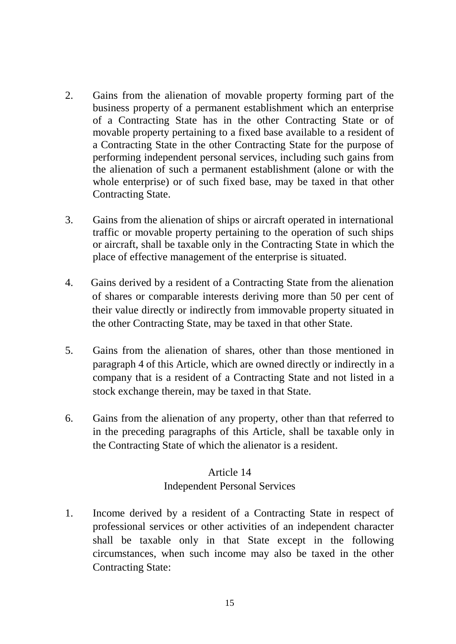- 2. Gains from the alienation of movable property forming part of the business property of a permanent establishment which an enterprise of a Contracting State has in the other Contracting State or of movable property pertaining to a fixed base available to a resident of a Contracting State in the other Contracting State for the purpose of performing independent personal services, including such gains from the alienation of such a permanent establishment (alone or with the whole enterprise) or of such fixed base, may be taxed in that other Contracting State.
- 3. Gains from the alienation of ships or aircraft operated in international traffic or movable property pertaining to the operation of such ships or aircraft, shall be taxable only in the Contracting State in which the place of effective management of the enterprise is situated.
- 4. Gains derived by a resident of a Contracting State from the alienation of shares or comparable interests deriving more than 50 per cent of their value directly or indirectly from immovable property situated in the other Contracting State, may be taxed in that other State.
- 5. Gains from the alienation of shares, other than those mentioned in paragraph 4 of this Article, which are owned directly or indirectly in a company that is a resident of a Contracting State and not listed in a stock exchange therein, may be taxed in that State.
- 6. Gains from the alienation of any property, other than that referred to in the preceding paragraphs of this Article, shall be taxable only in the Contracting State of which the alienator is a resident.

# Article 14 Independent Personal Services

1. Income derived by a resident of a Contracting State in respect of professional services or other activities of an independent character shall be taxable only in that State except in the following circumstances, when such income may also be taxed in the other Contracting State: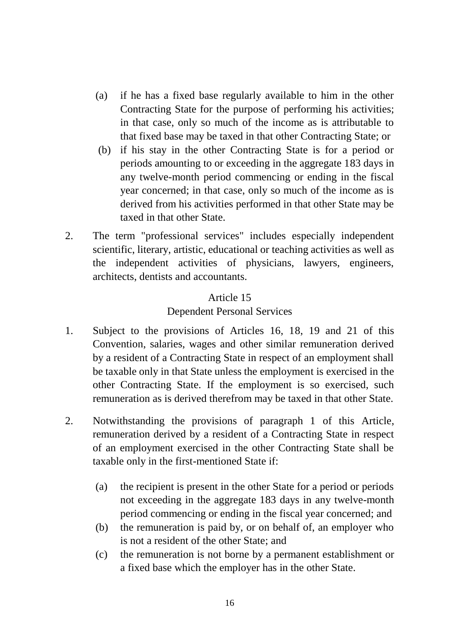- (a) if he has a fixed base regularly available to him in the other Contracting State for the purpose of performing his activities; in that case, only so much of the income as is attributable to that fixed base may be taxed in that other Contracting State; or
- (b) if his stay in the other Contracting State is for a period or periods amounting to or exceeding in the aggregate 183 days in any twelve-month period commencing or ending in the fiscal year concerned; in that case, only so much of the income as is derived from his activities performed in that other State may be taxed in that other State.
- 2. The term "professional services" includes especially independent scientific, literary, artistic, educational or teaching activities as well as the independent activities of physicians, lawyers, engineers, architects, dentists and accountants.

# Article 15

## Dependent Personal Services

- 1. Subject to the provisions of Articles 16, 18, 19 and 21 of this Convention, salaries, wages and other similar remuneration derived by a resident of a Contracting State in respect of an employment shall be taxable only in that State unless the employment is exercised in the other Contracting State. If the employment is so exercised, such remuneration as is derived therefrom may be taxed in that other State.
- 2. Notwithstanding the provisions of paragraph 1 of this Article, remuneration derived by a resident of a Contracting State in respect of an employment exercised in the other Contracting State shall be taxable only in the first-mentioned State if:
	- (a) the recipient is present in the other State for a period or periods not exceeding in the aggregate 183 days in any twelve-month period commencing or ending in the fiscal year concerned; and
	- (b) the remuneration is paid by, or on behalf of, an employer who is not a resident of the other State; and
	- (c) the remuneration is not borne by a permanent establishment or a fixed base which the employer has in the other State.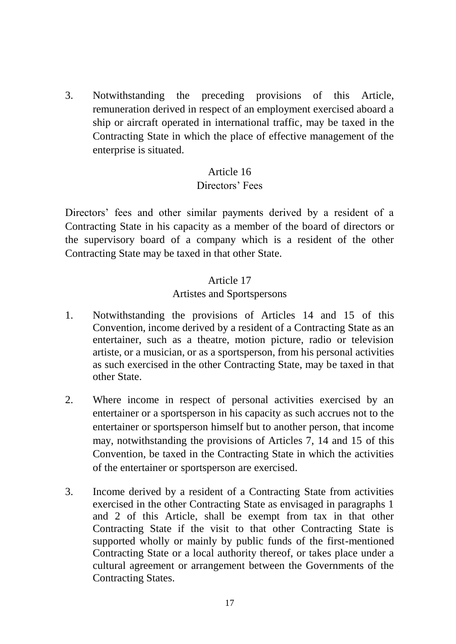3. Notwithstanding the preceding provisions of this Article, remuneration derived in respect of an employment exercised aboard a ship or aircraft operated in international traffic, may be taxed in the Contracting State in which the place of effective management of the enterprise is situated.

## Article 16

#### Directors' Fees

Directors' fees and other similar payments derived by a resident of a Contracting State in his capacity as a member of the board of directors or the supervisory board of a company which is a resident of the other Contracting State may be taxed in that other State.

#### Article 17

#### Artistes and Sportspersons

- 1. Notwithstanding the provisions of Articles 14 and 15 of this Convention, income derived by a resident of a Contracting State as an entertainer, such as a theatre, motion picture, radio or television artiste, or a musician, or as a sportsperson, from his personal activities as such exercised in the other Contracting State, may be taxed in that other State.
- 2. Where income in respect of personal activities exercised by an entertainer or a sportsperson in his capacity as such accrues not to the entertainer or sportsperson himself but to another person, that income may, notwithstanding the provisions of Articles 7, 14 and 15 of this Convention, be taxed in the Contracting State in which the activities of the entertainer or sportsperson are exercised.
- 3. Income derived by a resident of a Contracting State from activities exercised in the other Contracting State as envisaged in paragraphs 1 and 2 of this Article, shall be exempt from tax in that other Contracting State if the visit to that other Contracting State is supported wholly or mainly by public funds of the first-mentioned Contracting State or a local authority thereof, or takes place under a cultural agreement or arrangement between the Governments of the Contracting States.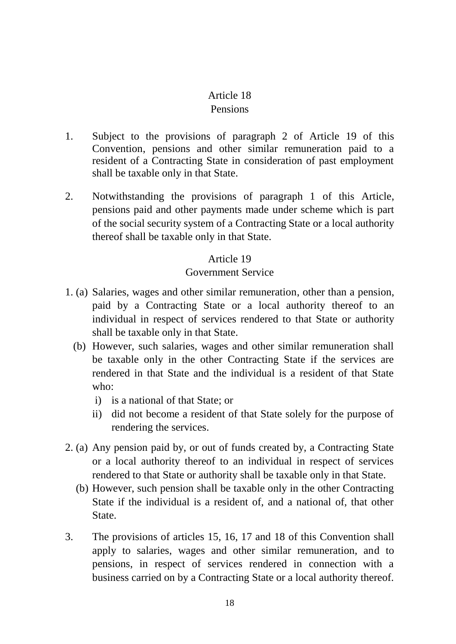#### Article 18 Pensions

- 1. Subject to the provisions of paragraph 2 of Article 19 of this Convention, pensions and other similar remuneration paid to a resident of a Contracting State in consideration of past employment shall be taxable only in that State.
- 2. Notwithstanding the provisions of paragraph 1 of this Article, pensions paid and other payments made under scheme which is part of the social security system of a Contracting State or a local authority thereof shall be taxable only in that State.

## Article 19

#### Government Service

- 1. (a) Salaries, wages and other similar remuneration, other than a pension, paid by a Contracting State or a local authority thereof to an individual in respect of services rendered to that State or authority shall be taxable only in that State.
	- (b) However, such salaries, wages and other similar remuneration shall be taxable only in the other Contracting State if the services are rendered in that State and the individual is a resident of that State who:
		- i) is a national of that State; or
		- ii) did not become a resident of that State solely for the purpose of rendering the services.
- 2. (a) Any pension paid by, or out of funds created by, a Contracting State or a local authority thereof to an individual in respect of services rendered to that State or authority shall be taxable only in that State.
	- (b) However, such pension shall be taxable only in the other Contracting State if the individual is a resident of, and a national of, that other State.
- 3. The provisions of articles 15, 16, 17 and 18 of this Convention shall apply to salaries, wages and other similar remuneration, and to pensions, in respect of services rendered in connection with a business carried on by a Contracting State or a local authority thereof.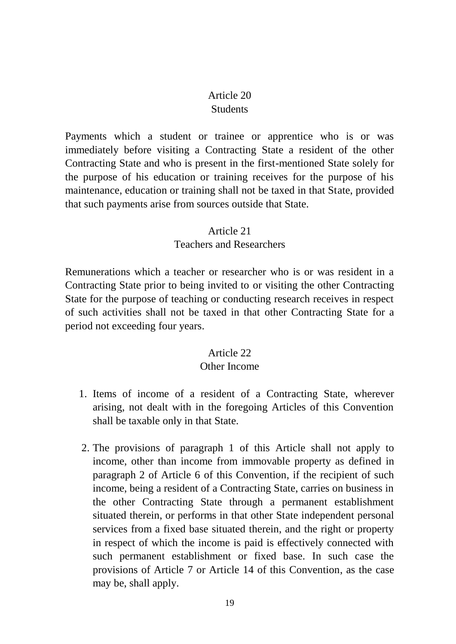## Article 20 **Students**

Payments which a student or trainee or apprentice who is or was immediately before visiting a Contracting State a resident of the other Contracting State and who is present in the first-mentioned State solely for the purpose of his education or training receives for the purpose of his maintenance, education or training shall not be taxed in that State, provided that such payments arise from sources outside that State.

#### Article 21

#### Teachers and Researchers

Remunerations which a teacher or researcher who is or was resident in a Contracting State prior to being invited to or visiting the other Contracting State for the purpose of teaching or conducting research receives in respect of such activities shall not be taxed in that other Contracting State for a period not exceeding four years.

## Article 22

## Other Income

- 1. Items of income of a resident of a Contracting State, wherever arising, not dealt with in the foregoing Articles of this Convention shall be taxable only in that State.
- 2. The provisions of paragraph 1 of this Article shall not apply to income, other than income from immovable property as defined in paragraph 2 of Article 6 of this Convention, if the recipient of such income, being a resident of a Contracting State, carries on business in the other Contracting State through a permanent establishment situated therein, or performs in that other State independent personal services from a fixed base situated therein, and the right or property in respect of which the income is paid is effectively connected with such permanent establishment or fixed base. In such case the provisions of Article 7 or Article 14 of this Convention, as the case may be, shall apply.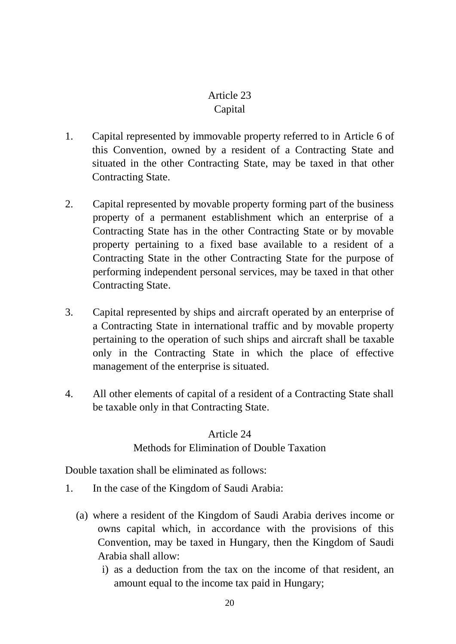# Article 23 Capital

- 1. Capital represented by immovable property referred to in Article 6 of this Convention, owned by a resident of a Contracting State and situated in the other Contracting State, may be taxed in that other Contracting State.
- 2. Capital represented by movable property forming part of the business property of a permanent establishment which an enterprise of a Contracting State has in the other Contracting State or by movable property pertaining to a fixed base available to a resident of a Contracting State in the other Contracting State for the purpose of performing independent personal services, may be taxed in that other Contracting State.
- 3. Capital represented by ships and aircraft operated by an enterprise of a Contracting State in international traffic and by movable property pertaining to the operation of such ships and aircraft shall be taxable only in the Contracting State in which the place of effective management of the enterprise is situated.
- 4. All other elements of capital of a resident of a Contracting State shall be taxable only in that Contracting State.

# Article 24 Methods for Elimination of Double Taxation

Double taxation shall be eliminated as follows:

- 1. In the case of the Kingdom of Saudi Arabia:
	- (a) where a resident of the Kingdom of Saudi Arabia derives income or owns capital which, in accordance with the provisions of this Convention, may be taxed in Hungary, then the Kingdom of Saudi Arabia shall allow:
		- i) as a deduction from the tax on the income of that resident, an amount equal to the income tax paid in Hungary;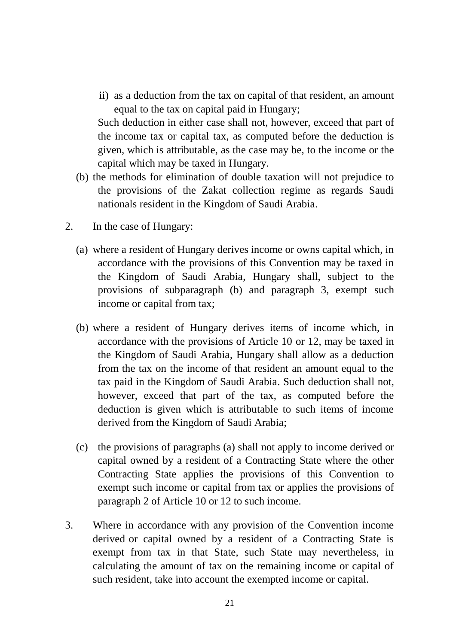ii) as a deduction from the tax on capital of that resident, an amount equal to the tax on capital paid in Hungary;

Such deduction in either case shall not, however, exceed that part of the income tax or capital tax, as computed before the deduction is given, which is attributable, as the case may be, to the income or the capital which may be taxed in Hungary.

- (b) the methods for elimination of double taxation will not prejudice to the provisions of the Zakat collection regime as regards Saudi nationals resident in the Kingdom of Saudi Arabia.
- 2. In the case of Hungary:
	- (a) where a resident of Hungary derives income or owns capital which, in accordance with the provisions of this Convention may be taxed in the Kingdom of Saudi Arabia, Hungary shall, subject to the provisions of subparagraph (b) and paragraph 3, exempt such income or capital from tax;
	- (b) where a resident of Hungary derives items of income which, in accordance with the provisions of Article 10 or 12, may be taxed in the Kingdom of Saudi Arabia, Hungary shall allow as a deduction from the tax on the income of that resident an amount equal to the tax paid in the Kingdom of Saudi Arabia. Such deduction shall not, however, exceed that part of the tax, as computed before the deduction is given which is attributable to such items of income derived from the Kingdom of Saudi Arabia;
	- (c) the provisions of paragraphs (a) shall not apply to income derived or capital owned by a resident of a Contracting State where the other Contracting State applies the provisions of this Convention to exempt such income or capital from tax or applies the provisions of paragraph 2 of Article 10 or 12 to such income.
- 3. Where in accordance with any provision of the Convention income derived or capital owned by a resident of a Contracting State is exempt from tax in that State, such State may nevertheless, in calculating the amount of tax on the remaining income or capital of such resident, take into account the exempted income or capital.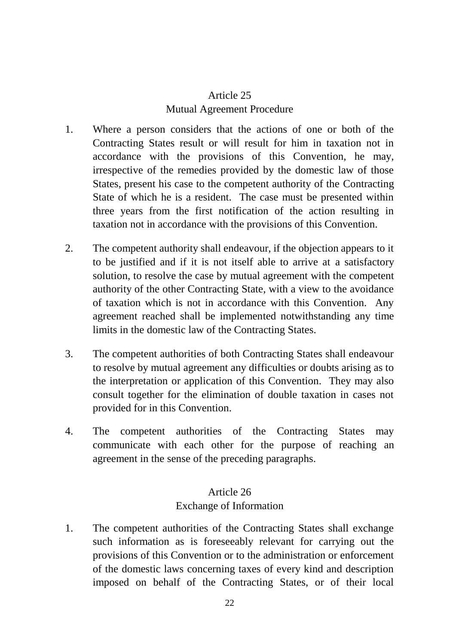# Article 25 Mutual Agreement Procedure

- 1. Where a person considers that the actions of one or both of the Contracting States result or will result for him in taxation not in accordance with the provisions of this Convention, he may, irrespective of the remedies provided by the domestic law of those States, present his case to the competent authority of the Contracting State of which he is a resident. The case must be presented within three years from the first notification of the action resulting in taxation not in accordance with the provisions of this Convention.
- 2. The competent authority shall endeavour, if the objection appears to it to be justified and if it is not itself able to arrive at a satisfactory solution, to resolve the case by mutual agreement with the competent authority of the other Contracting State, with a view to the avoidance of taxation which is not in accordance with this Convention. Any agreement reached shall be implemented notwithstanding any time limits in the domestic law of the Contracting States.
- 3. The competent authorities of both Contracting States shall endeavour to resolve by mutual agreement any difficulties or doubts arising as to the interpretation or application of this Convention. They may also consult together for the elimination of double taxation in cases not provided for in this Convention.
- 4. The competent authorities of the Contracting States may communicate with each other for the purpose of reaching an agreement in the sense of the preceding paragraphs.

# Article 26 Exchange of Information

1. The competent authorities of the Contracting States shall exchange such information as is foreseeably relevant for carrying out the provisions of this Convention or to the administration or enforcement of the domestic laws concerning taxes of every kind and description imposed on behalf of the Contracting States, or of their local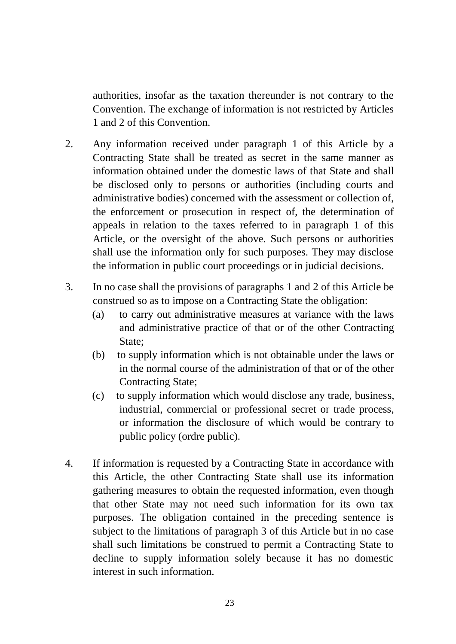authorities, insofar as the taxation thereunder is not contrary to the Convention. The exchange of information is not restricted by Articles 1 and 2 of this Convention.

- 2. Any information received under paragraph 1 of this Article by a Contracting State shall be treated as secret in the same manner as information obtained under the domestic laws of that State and shall be disclosed only to persons or authorities (including courts and administrative bodies) concerned with the assessment or collection of, the enforcement or prosecution in respect of, the determination of appeals in relation to the taxes referred to in paragraph 1 of this Article, or the oversight of the above. Such persons or authorities shall use the information only for such purposes. They may disclose the information in public court proceedings or in judicial decisions.
- 3. In no case shall the provisions of paragraphs 1 and 2 of this Article be construed so as to impose on a Contracting State the obligation:
	- (a) to carry out administrative measures at variance with the laws and administrative practice of that or of the other Contracting State;
	- (b) to supply information which is not obtainable under the laws or in the normal course of the administration of that or of the other Contracting State;
	- (c) to supply information which would disclose any trade, business, industrial, commercial or professional secret or trade process, or information the disclosure of which would be contrary to public policy (ordre public).
- 4. If information is requested by a Contracting State in accordance with this Article, the other Contracting State shall use its information gathering measures to obtain the requested information, even though that other State may not need such information for its own tax purposes. The obligation contained in the preceding sentence is subject to the limitations of paragraph 3 of this Article but in no case shall such limitations be construed to permit a Contracting State to decline to supply information solely because it has no domestic interest in such information.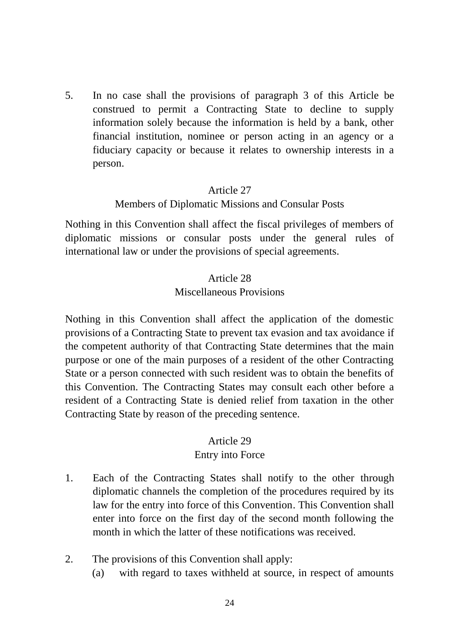5. In no case shall the provisions of paragraph 3 of this Article be construed to permit a Contracting State to decline to supply information solely because the information is held by a bank, other financial institution, nominee or person acting in an agency or a fiduciary capacity or because it relates to ownership interests in a person.

#### Article 27

#### Members of Diplomatic Missions and Consular Posts

Nothing in this Convention shall affect the fiscal privileges of members of diplomatic missions or consular posts under the general rules of international law or under the provisions of special agreements.

#### Article 28

#### Miscellaneous Provisions

Nothing in this Convention shall affect the application of the domestic provisions of a Contracting State to prevent tax evasion and tax avoidance if the competent authority of that Contracting State determines that the main purpose or one of the main purposes of a resident of the other Contracting State or a person connected with such resident was to obtain the benefits of this Convention. The Contracting States may consult each other before a resident of a Contracting State is denied relief from taxation in the other Contracting State by reason of the preceding sentence.

#### Article 29

#### Entry into Force

- 1. Each of the Contracting States shall notify to the other through diplomatic channels the completion of the procedures required by its law for the entry into force of this Convention. This Convention shall enter into force on the first day of the second month following the month in which the latter of these notifications was received.
- 2. The provisions of this Convention shall apply:
	- (a) with regard to taxes withheld at source, in respect of amounts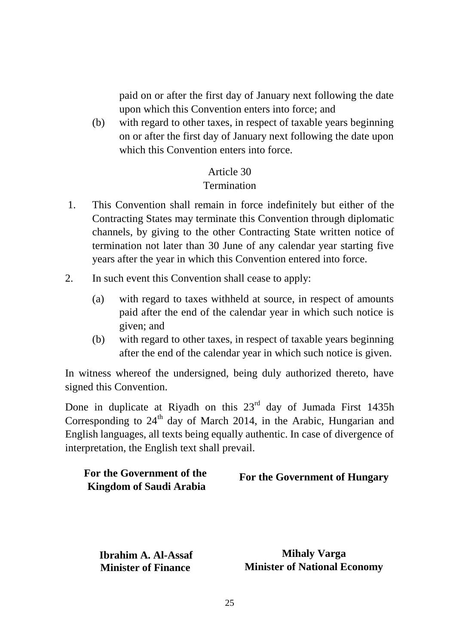paid on or after the first day of January next following the date upon which this Convention enters into force; and

(b) with regard to other taxes, in respect of taxable years beginning on or after the first day of January next following the date upon which this Convention enters into force.

#### Article 30

#### Termination

- 1. This Convention shall remain in force indefinitely but either of the Contracting States may terminate this Convention through diplomatic channels, by giving to the other Contracting State written notice of termination not later than 30 June of any calendar year starting five years after the year in which this Convention entered into force.
- 2. In such event this Convention shall cease to apply:
	- (a) with regard to taxes withheld at source, in respect of amounts paid after the end of the calendar year in which such notice is given; and
	- (b) with regard to other taxes, in respect of taxable years beginning after the end of the calendar year in which such notice is given.

In witness whereof the undersigned, being duly authorized thereto, have signed this Convention.

Done in duplicate at Riyadh on this  $23<sup>rd</sup>$  day of Jumada First 1435h Corresponding to  $24<sup>th</sup>$  day of March 2014, in the Arabic, Hungarian and English languages, all texts being equally authentic. In case of divergence of interpretation, the English text shall prevail.

| For the Government of the | <b>For the Government of Hungary</b> |
|---------------------------|--------------------------------------|
| Kingdom of Saudi Arabia   |                                      |

**Ibrahim A. Al-Assaf Minister of Finance** 

**Mihaly Varga Minister of National Economy**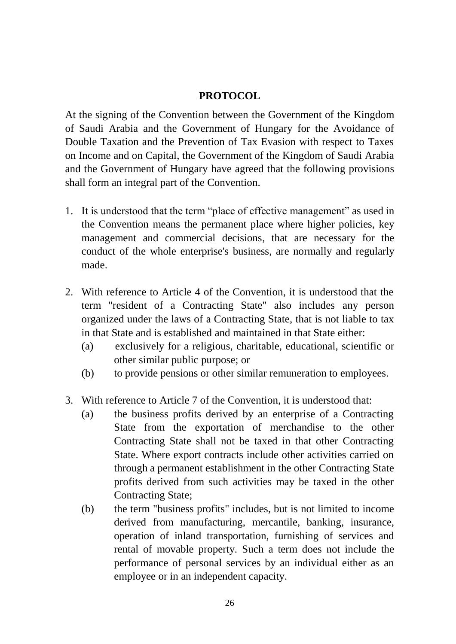## **PROTOCOL**

At the signing of the Convention between the Government of the Kingdom of Saudi Arabia and the Government of Hungary for the Avoidance of Double Taxation and the Prevention of Tax Evasion with respect to Taxes on Income and on Capital, the Government of the Kingdom of Saudi Arabia and the Government of Hungary have agreed that the following provisions shall form an integral part of the Convention.

- 1. It is understood that the term "place of effective management" as used in the Convention means the permanent place where higher policies, key management and commercial decisions, that are necessary for the conduct of the whole enterprise's business, are normally and regularly made.
- 2. With reference to Article 4 of the Convention, it is understood that the term "resident of a Contracting State" also includes any person organized under the laws of a Contracting State, that is not liable to tax in that State and is established and maintained in that State either:
	- (a) exclusively for a religious, charitable, educational, scientific or other similar public purpose; or
	- (b) to provide pensions or other similar remuneration to employees.
- 3. With reference to Article 7 of the Convention, it is understood that:
	- (a) the business profits derived by an enterprise of a Contracting State from the exportation of merchandise to the other Contracting State shall not be taxed in that other Contracting State. Where export contracts include other activities carried on through a permanent establishment in the other Contracting State profits derived from such activities may be taxed in the other Contracting State;
	- (b) the term "business profits" includes, but is not limited to income derived from manufacturing, mercantile, banking, insurance, operation of inland transportation, furnishing of services and rental of movable property. Such a term does not include the performance of personal services by an individual either as an employee or in an independent capacity.